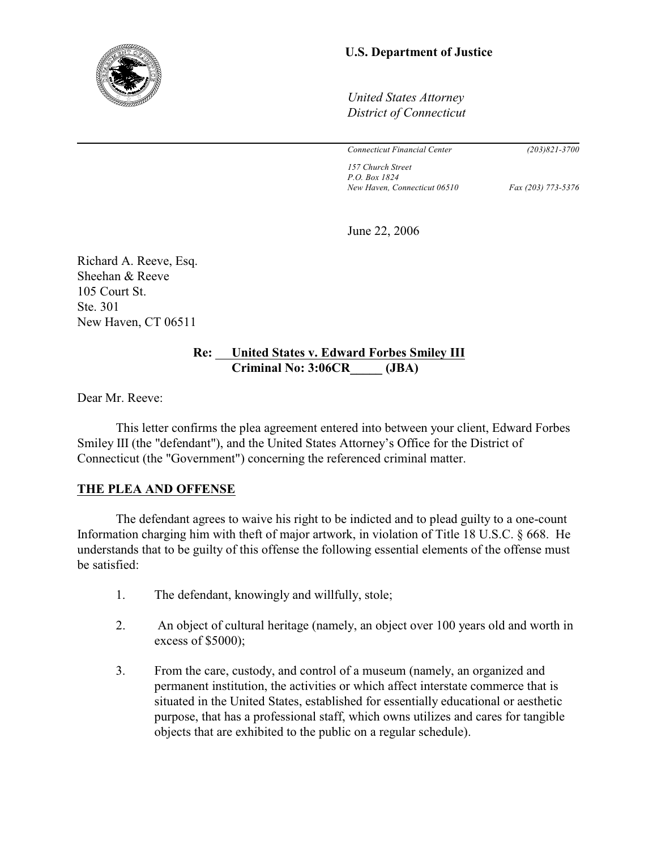

# **U.S. Department of Justice**

*United States Attorney District of Connecticut*

*Connecticut Financial Center (203)821-3700*

*157 Church Street P.O. Box 1824 New Haven, Connecticut 06510 Fax (203) 773-5376*

June 22, 2006

Richard A. Reeve, Esq. Sheehan & Reeve 105 Court St. Ste. 301 New Haven, CT 06511

# **Re: United States v. Edward Forbes Smiley III Criminal No: 3:06CR\_\_\_\_\_ (JBA)**

Dear Mr. Reeve:

This letter confirms the plea agreement entered into between your client, Edward Forbes Smiley III (the "defendant"), and the United States Attorney's Office for the District of Connecticut (the "Government") concerning the referenced criminal matter.

# **THE PLEA AND OFFENSE**

The defendant agrees to waive his right to be indicted and to plead guilty to a one-count Information charging him with theft of major artwork, in violation of Title 18 U.S.C. § 668. He understands that to be guilty of this offense the following essential elements of the offense must be satisfied:

- 1. The defendant, knowingly and willfully, stole;
- 2. An object of cultural heritage (namely, an object over 100 years old and worth in excess of \$5000);
- 3. From the care, custody, and control of a museum (namely, an organized and permanent institution, the activities or which affect interstate commerce that is situated in the United States, established for essentially educational or aesthetic purpose, that has a professional staff, which owns utilizes and cares for tangible objects that are exhibited to the public on a regular schedule).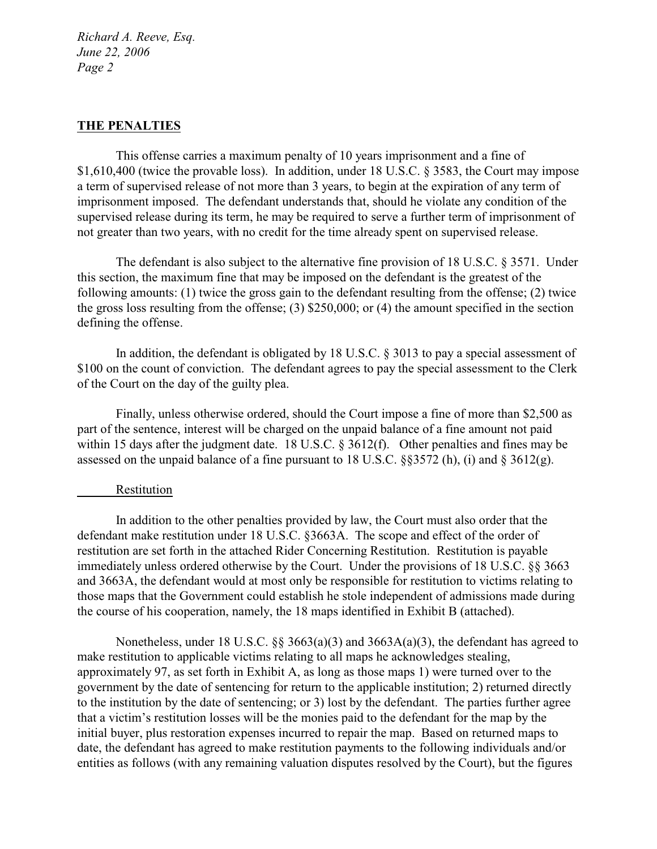## **THE PENALTIES**

This offense carries a maximum penalty of 10 years imprisonment and a fine of \$1,610,400 (twice the provable loss). In addition, under 18 U.S.C. § 3583, the Court may impose a term of supervised release of not more than 3 years, to begin at the expiration of any term of imprisonment imposed. The defendant understands that, should he violate any condition of the supervised release during its term, he may be required to serve a further term of imprisonment of not greater than two years, with no credit for the time already spent on supervised release.

The defendant is also subject to the alternative fine provision of 18 U.S.C. § 3571. Under this section, the maximum fine that may be imposed on the defendant is the greatest of the following amounts: (1) twice the gross gain to the defendant resulting from the offense; (2) twice the gross loss resulting from the offense; (3) \$250,000; or (4) the amount specified in the section defining the offense.

In addition, the defendant is obligated by 18 U.S.C. § 3013 to pay a special assessment of \$100 on the count of conviction. The defendant agrees to pay the special assessment to the Clerk of the Court on the day of the guilty plea.

Finally, unless otherwise ordered, should the Court impose a fine of more than \$2,500 as part of the sentence, interest will be charged on the unpaid balance of a fine amount not paid within 15 days after the judgment date. 18 U.S.C. § 3612(f). Other penalties and fines may be assessed on the unpaid balance of a fine pursuant to 18 U.S.C. §§3572 (h), (i) and § 3612(g).

## Restitution

In addition to the other penalties provided by law, the Court must also order that the defendant make restitution under 18 U.S.C. §3663A. The scope and effect of the order of restitution are set forth in the attached Rider Concerning Restitution. Restitution is payable immediately unless ordered otherwise by the Court. Under the provisions of 18 U.S.C. §§ 3663 and 3663A, the defendant would at most only be responsible for restitution to victims relating to those maps that the Government could establish he stole independent of admissions made during the course of his cooperation, namely, the 18 maps identified in Exhibit B (attached).

Nonetheless, under 18 U.S.C. §§ 3663(a)(3) and 3663A(a)(3), the defendant has agreed to make restitution to applicable victims relating to all maps he acknowledges stealing, approximately 97, as set forth in Exhibit A, as long as those maps 1) were turned over to the government by the date of sentencing for return to the applicable institution; 2) returned directly to the institution by the date of sentencing; or 3) lost by the defendant. The parties further agree that a victim's restitution losses will be the monies paid to the defendant for the map by the initial buyer, plus restoration expenses incurred to repair the map. Based on returned maps to date, the defendant has agreed to make restitution payments to the following individuals and/or entities as follows (with any remaining valuation disputes resolved by the Court), but the figures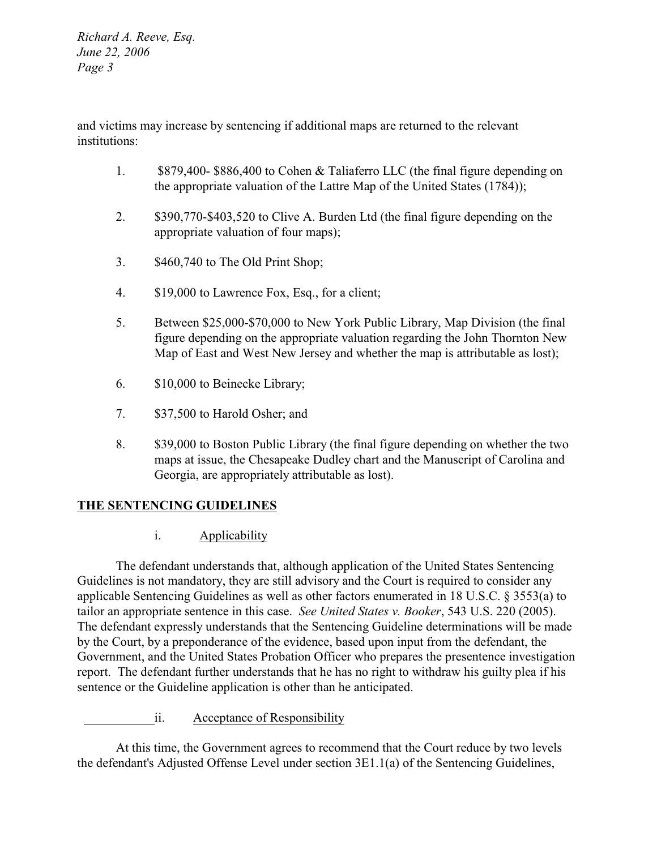and victims may increase by sentencing if additional maps are returned to the relevant institutions:

- 1. \$879,400- \$886,400 to Cohen & Taliaferro LLC (the final figure depending on the appropriate valuation of the Lattre Map of the United States (1784));
- 2. \$390,770-\$403,520 to Clive A. Burden Ltd (the final figure depending on the appropriate valuation of four maps);
- 3. \$460,740 to The Old Print Shop;
- 4. \$19,000 to Lawrence Fox, Esq., for a client;
- 5. Between \$25,000-\$70,000 to New York Public Library, Map Division (the final figure depending on the appropriate valuation regarding the John Thornton New Map of East and West New Jersey and whether the map is attributable as lost);
- 6. \$10,000 to Beinecke Library;
- 7. \$37,500 to Harold Osher; and
- 8. \$39,000 to Boston Public Library (the final figure depending on whether the two maps at issue, the Chesapeake Dudley chart and the Manuscript of Carolina and Georgia, are appropriately attributable as lost).

# **THE SENTENCING GUIDELINES**

i. Applicability

The defendant understands that, although application of the United States Sentencing Guidelines is not mandatory, they are still advisory and the Court is required to consider any applicable Sentencing Guidelines as well as other factors enumerated in 18 U.S.C. § 3553(a) to tailor an appropriate sentence in this case. *See United States v. Booker*, 543 U.S. 220 (2005). The defendant expressly understands that the Sentencing Guideline determinations will be made by the Court, by a preponderance of the evidence, based upon input from the defendant, the Government, and the United States Probation Officer who prepares the presentence investigation report. The defendant further understands that he has no right to withdraw his guilty plea if his sentence or the Guideline application is other than he anticipated.

ii. Acceptance of Responsibility

At this time, the Government agrees to recommend that the Court reduce by two levels the defendant's Adjusted Offense Level under section 3E1.1(a) of the Sentencing Guidelines,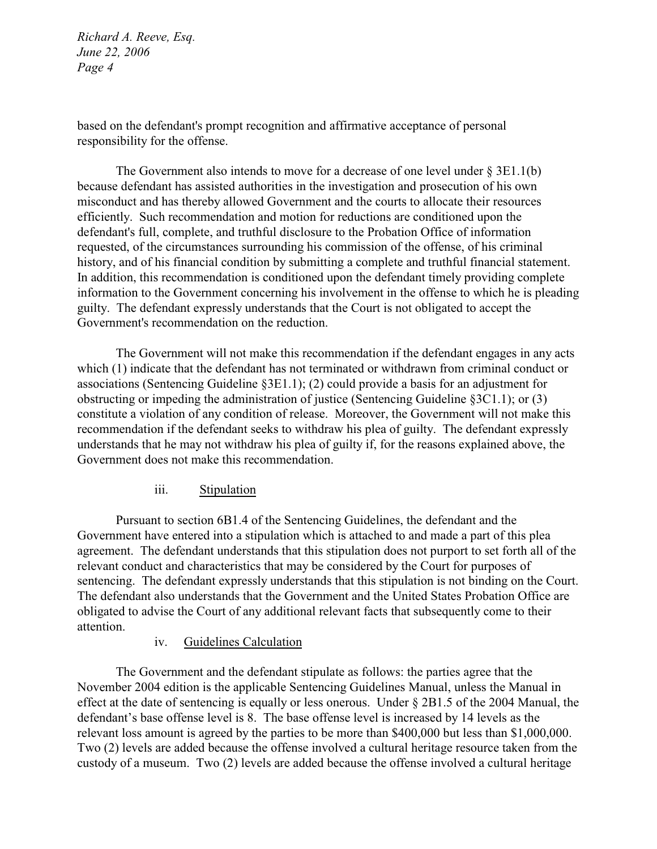based on the defendant's prompt recognition and affirmative acceptance of personal responsibility for the offense.

The Government also intends to move for a decrease of one level under  $\S 3E1.1(b)$ because defendant has assisted authorities in the investigation and prosecution of his own misconduct and has thereby allowed Government and the courts to allocate their resources efficiently. Such recommendation and motion for reductions are conditioned upon the defendant's full, complete, and truthful disclosure to the Probation Office of information requested, of the circumstances surrounding his commission of the offense, of his criminal history, and of his financial condition by submitting a complete and truthful financial statement. In addition, this recommendation is conditioned upon the defendant timely providing complete information to the Government concerning his involvement in the offense to which he is pleading guilty. The defendant expressly understands that the Court is not obligated to accept the Government's recommendation on the reduction.

The Government will not make this recommendation if the defendant engages in any acts which (1) indicate that the defendant has not terminated or withdrawn from criminal conduct or associations (Sentencing Guideline §3E1.1); (2) could provide a basis for an adjustment for obstructing or impeding the administration of justice (Sentencing Guideline §3C1.1); or (3) constitute a violation of any condition of release. Moreover, the Government will not make this recommendation if the defendant seeks to withdraw his plea of guilty. The defendant expressly understands that he may not withdraw his plea of guilty if, for the reasons explained above, the Government does not make this recommendation.

# iii. Stipulation

Pursuant to section 6B1.4 of the Sentencing Guidelines, the defendant and the Government have entered into a stipulation which is attached to and made a part of this plea agreement. The defendant understands that this stipulation does not purport to set forth all of the relevant conduct and characteristics that may be considered by the Court for purposes of sentencing. The defendant expressly understands that this stipulation is not binding on the Court. The defendant also understands that the Government and the United States Probation Office are obligated to advise the Court of any additional relevant facts that subsequently come to their attention.

# iv. Guidelines Calculation

The Government and the defendant stipulate as follows: the parties agree that the November 2004 edition is the applicable Sentencing Guidelines Manual, unless the Manual in effect at the date of sentencing is equally or less onerous. Under § 2B1.5 of the 2004 Manual, the defendant's base offense level is 8. The base offense level is increased by 14 levels as the relevant loss amount is agreed by the parties to be more than \$400,000 but less than \$1,000,000. Two (2) levels are added because the offense involved a cultural heritage resource taken from the custody of a museum. Two (2) levels are added because the offense involved a cultural heritage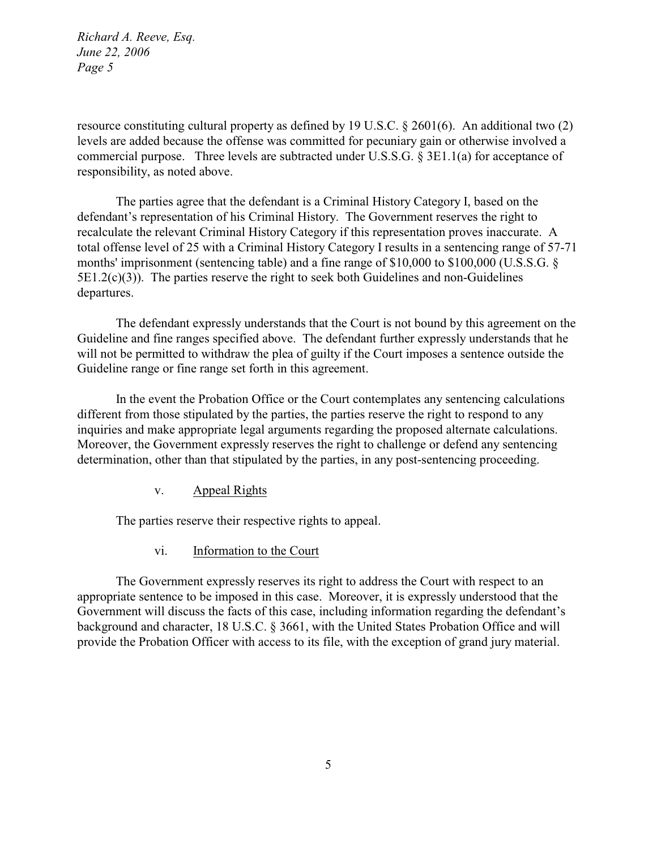resource constituting cultural property as defined by 19 U.S.C. § 2601(6). An additional two (2) levels are added because the offense was committed for pecuniary gain or otherwise involved a commercial purpose. Three levels are subtracted under U.S.S.G. § 3E1.1(a) for acceptance of responsibility, as noted above.

The parties agree that the defendant is a Criminal History Category I, based on the defendant's representation of his Criminal History. The Government reserves the right to recalculate the relevant Criminal History Category if this representation proves inaccurate. A total offense level of 25 with a Criminal History Category I results in a sentencing range of 57-71 months' imprisonment (sentencing table) and a fine range of \$10,000 to \$100,000 (U.S.S.G. §  $5E1.2(c)(3)$ ). The parties reserve the right to seek both Guidelines and non-Guidelines departures.

The defendant expressly understands that the Court is not bound by this agreement on the Guideline and fine ranges specified above. The defendant further expressly understands that he will not be permitted to withdraw the plea of guilty if the Court imposes a sentence outside the Guideline range or fine range set forth in this agreement.

In the event the Probation Office or the Court contemplates any sentencing calculations different from those stipulated by the parties, the parties reserve the right to respond to any inquiries and make appropriate legal arguments regarding the proposed alternate calculations. Moreover, the Government expressly reserves the right to challenge or defend any sentencing determination, other than that stipulated by the parties, in any post-sentencing proceeding.

v. Appeal Rights

The parties reserve their respective rights to appeal.

vi. Information to the Court

The Government expressly reserves its right to address the Court with respect to an appropriate sentence to be imposed in this case. Moreover, it is expressly understood that the Government will discuss the facts of this case, including information regarding the defendant's background and character, 18 U.S.C. § 3661, with the United States Probation Office and will provide the Probation Officer with access to its file, with the exception of grand jury material.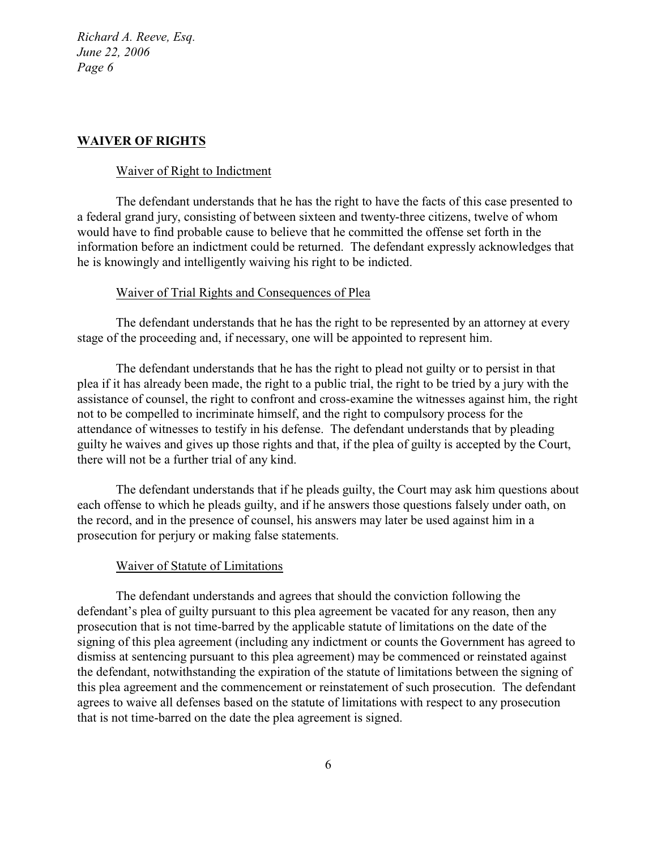# **WAIVER OF RIGHTS**

## Waiver of Right to Indictment

The defendant understands that he has the right to have the facts of this case presented to a federal grand jury, consisting of between sixteen and twenty-three citizens, twelve of whom would have to find probable cause to believe that he committed the offense set forth in the information before an indictment could be returned. The defendant expressly acknowledges that he is knowingly and intelligently waiving his right to be indicted.

#### Waiver of Trial Rights and Consequences of Plea

The defendant understands that he has the right to be represented by an attorney at every stage of the proceeding and, if necessary, one will be appointed to represent him.

The defendant understands that he has the right to plead not guilty or to persist in that plea if it has already been made, the right to a public trial, the right to be tried by a jury with the assistance of counsel, the right to confront and cross-examine the witnesses against him, the right not to be compelled to incriminate himself, and the right to compulsory process for the attendance of witnesses to testify in his defense. The defendant understands that by pleading guilty he waives and gives up those rights and that, if the plea of guilty is accepted by the Court, there will not be a further trial of any kind.

The defendant understands that if he pleads guilty, the Court may ask him questions about each offense to which he pleads guilty, and if he answers those questions falsely under oath, on the record, and in the presence of counsel, his answers may later be used against him in a prosecution for perjury or making false statements.

#### Waiver of Statute of Limitations

The defendant understands and agrees that should the conviction following the defendant's plea of guilty pursuant to this plea agreement be vacated for any reason, then any prosecution that is not time-barred by the applicable statute of limitations on the date of the signing of this plea agreement (including any indictment or counts the Government has agreed to dismiss at sentencing pursuant to this plea agreement) may be commenced or reinstated against the defendant, notwithstanding the expiration of the statute of limitations between the signing of this plea agreement and the commencement or reinstatement of such prosecution. The defendant agrees to waive all defenses based on the statute of limitations with respect to any prosecution that is not time-barred on the date the plea agreement is signed.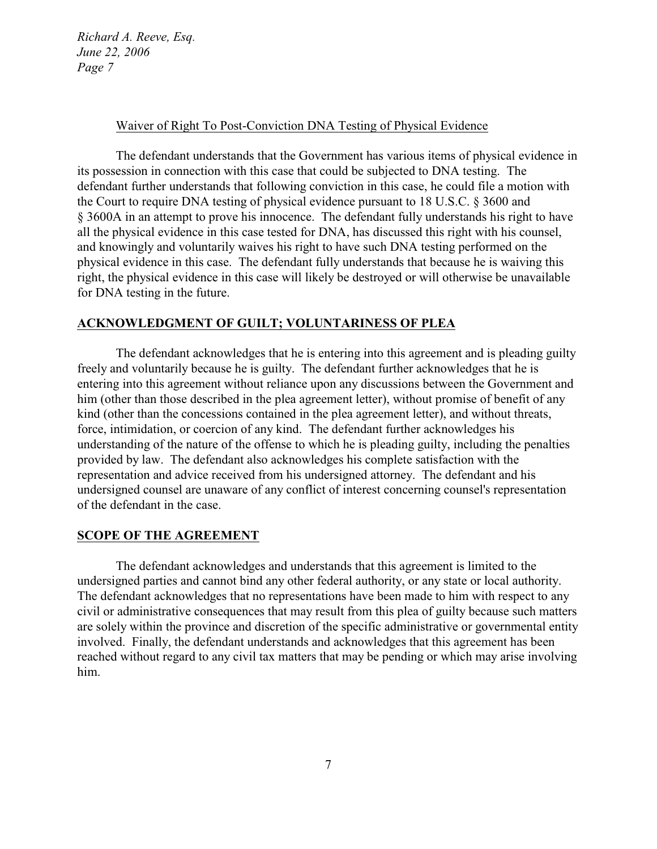#### Waiver of Right To Post-Conviction DNA Testing of Physical Evidence

The defendant understands that the Government has various items of physical evidence in its possession in connection with this case that could be subjected to DNA testing. The defendant further understands that following conviction in this case, he could file a motion with the Court to require DNA testing of physical evidence pursuant to 18 U.S.C. § 3600 and § 3600A in an attempt to prove his innocence. The defendant fully understands his right to have all the physical evidence in this case tested for DNA, has discussed this right with his counsel, and knowingly and voluntarily waives his right to have such DNA testing performed on the physical evidence in this case. The defendant fully understands that because he is waiving this right, the physical evidence in this case will likely be destroyed or will otherwise be unavailable for DNA testing in the future.

## **ACKNOWLEDGMENT OF GUILT; VOLUNTARINESS OF PLEA**

The defendant acknowledges that he is entering into this agreement and is pleading guilty freely and voluntarily because he is guilty. The defendant further acknowledges that he is entering into this agreement without reliance upon any discussions between the Government and him (other than those described in the plea agreement letter), without promise of benefit of any kind (other than the concessions contained in the plea agreement letter), and without threats, force, intimidation, or coercion of any kind. The defendant further acknowledges his understanding of the nature of the offense to which he is pleading guilty, including the penalties provided by law. The defendant also acknowledges his complete satisfaction with the representation and advice received from his undersigned attorney. The defendant and his undersigned counsel are unaware of any conflict of interest concerning counsel's representation of the defendant in the case.

#### **SCOPE OF THE AGREEMENT**

The defendant acknowledges and understands that this agreement is limited to the undersigned parties and cannot bind any other federal authority, or any state or local authority. The defendant acknowledges that no representations have been made to him with respect to any civil or administrative consequences that may result from this plea of guilty because such matters are solely within the province and discretion of the specific administrative or governmental entity involved. Finally, the defendant understands and acknowledges that this agreement has been reached without regard to any civil tax matters that may be pending or which may arise involving him.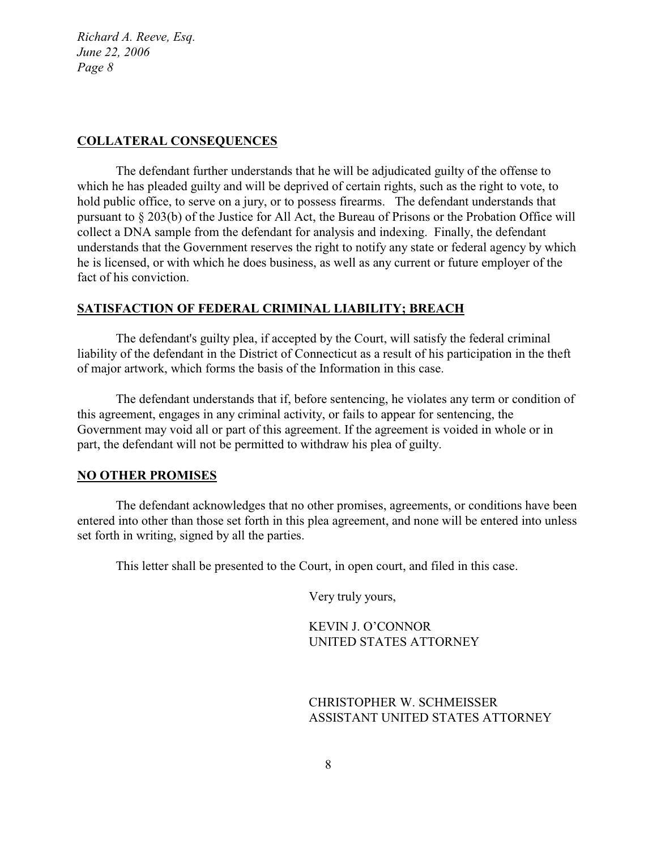## **COLLATERAL CONSEQUENCES**

The defendant further understands that he will be adjudicated guilty of the offense to which he has pleaded guilty and will be deprived of certain rights, such as the right to vote, to hold public office, to serve on a jury, or to possess firearms.The defendant understands that pursuant to § 203(b) of the Justice for All Act, the Bureau of Prisons or the Probation Office will collect a DNA sample from the defendant for analysis and indexing. Finally, the defendant understands that the Government reserves the right to notify any state or federal agency by which he is licensed, or with which he does business, as well as any current or future employer of the fact of his conviction.

## **SATISFACTION OF FEDERAL CRIMINAL LIABILITY; BREACH**

The defendant's guilty plea, if accepted by the Court, will satisfy the federal criminal liability of the defendant in the District of Connecticut as a result of his participation in the theft of major artwork, which forms the basis of the Information in this case.

The defendant understands that if, before sentencing, he violates any term or condition of this agreement, engages in any criminal activity, or fails to appear for sentencing, the Government may void all or part of this agreement. If the agreement is voided in whole or in part, the defendant will not be permitted to withdraw his plea of guilty.

## **NO OTHER PROMISES**

The defendant acknowledges that no other promises, agreements, or conditions have been entered into other than those set forth in this plea agreement, and none will be entered into unless set forth in writing, signed by all the parties.

This letter shall be presented to the Court, in open court, and filed in this case.

Very truly yours,

KEVIN J. O'CONNOR UNITED STATES ATTORNEY

CHRISTOPHER W. SCHMEISSER ASSISTANT UNITED STATES ATTORNEY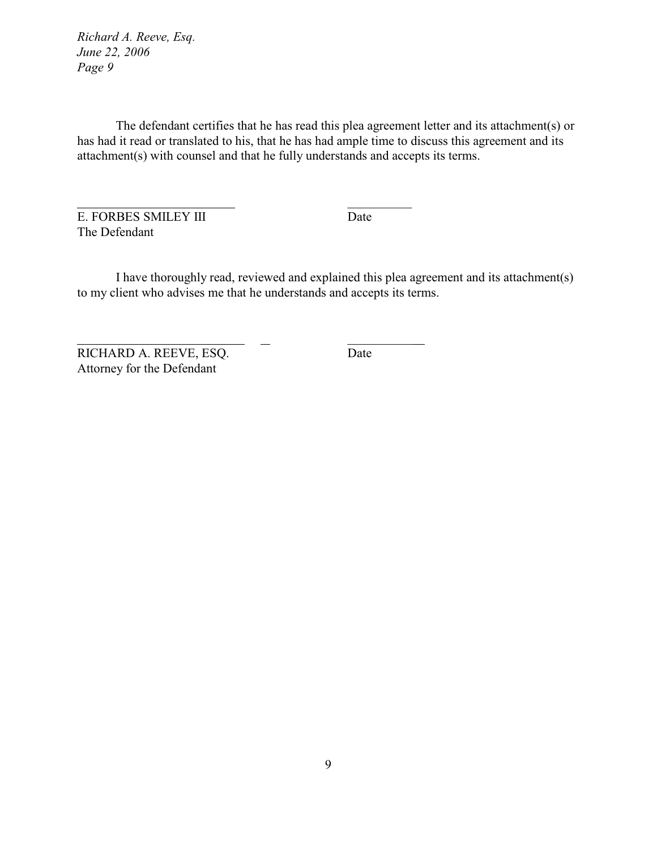The defendant certifies that he has read this plea agreement letter and its attachment(s) or has had it read or translated to his, that he has had ample time to discuss this agreement and its attachment(s) with counsel and that he fully understands and accepts its terms.

\_\_\_\_\_\_\_\_\_\_

\_\_\_\_\_\_\_\_\_\_

E. FORBES SMILEY III Date The Defendant

I have thoroughly read, reviewed and explained this plea agreement and its attachment(s) to my client who advises me that he understands and accepts its terms.

RICHARD A. REEVE, ESQ. Date Attorney for the Defendant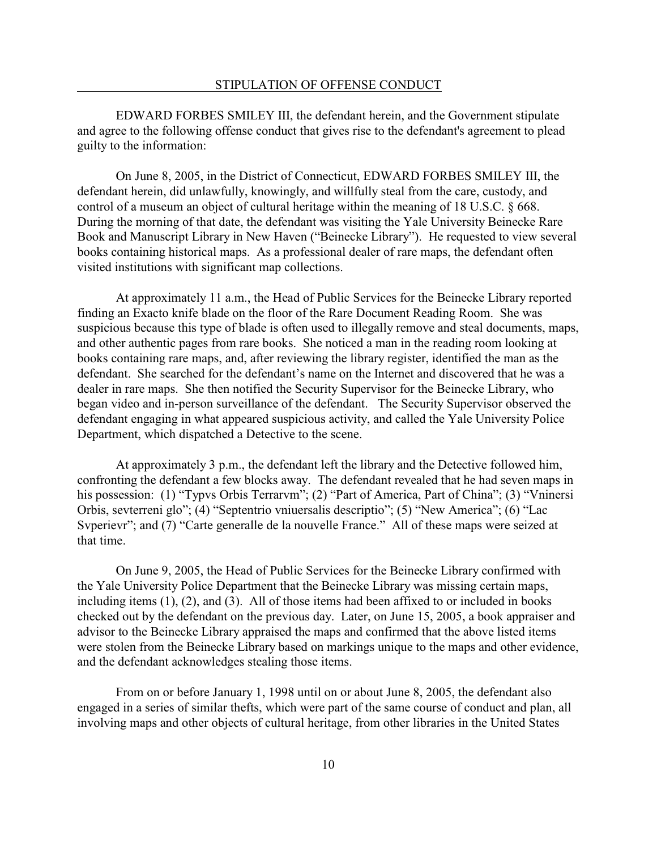EDWARD FORBES SMILEY III, the defendant herein, and the Government stipulate and agree to the following offense conduct that gives rise to the defendant's agreement to plead guilty to the information:

On June 8, 2005, in the District of Connecticut, EDWARD FORBES SMILEY III, the defendant herein, did unlawfully, knowingly, and willfully steal from the care, custody, and control of a museum an object of cultural heritage within the meaning of 18 U.S.C. § 668. During the morning of that date, the defendant was visiting the Yale University Beinecke Rare Book and Manuscript Library in New Haven ("Beinecke Library"). He requested to view several books containing historical maps. As a professional dealer of rare maps, the defendant often visited institutions with significant map collections.

At approximately 11 a.m., the Head of Public Services for the Beinecke Library reported finding an Exacto knife blade on the floor of the Rare Document Reading Room. She was suspicious because this type of blade is often used to illegally remove and steal documents, maps, and other authentic pages from rare books. She noticed a man in the reading room looking at books containing rare maps, and, after reviewing the library register, identified the man as the defendant. She searched for the defendant's name on the Internet and discovered that he was a dealer in rare maps. She then notified the Security Supervisor for the Beinecke Library, who began video and in-person surveillance of the defendant. The Security Supervisor observed the defendant engaging in what appeared suspicious activity, and called the Yale University Police Department, which dispatched a Detective to the scene.

At approximately 3 p.m., the defendant left the library and the Detective followed him, confronting the defendant a few blocks away. The defendant revealed that he had seven maps in his possession: (1) "Typvs Orbis Terrarvm"; (2) "Part of America, Part of China"; (3) "Vninersi Orbis, sevterreni glo"; (4) "Septentrio vniuersalis descriptio"; (5) "New America"; (6) "Lac Syperievr"; and (7) "Carte generalle de la nouvelle France." All of these maps were seized at that time.

On June 9, 2005, the Head of Public Services for the Beinecke Library confirmed with the Yale University Police Department that the Beinecke Library was missing certain maps, including items (1), (2), and (3). All of those items had been affixed to or included in books checked out by the defendant on the previous day. Later, on June 15, 2005, a book appraiser and advisor to the Beinecke Library appraised the maps and confirmed that the above listed items were stolen from the Beinecke Library based on markings unique to the maps and other evidence, and the defendant acknowledges stealing those items.

From on or before January 1, 1998 until on or about June 8, 2005, the defendant also engaged in a series of similar thefts, which were part of the same course of conduct and plan, all involving maps and other objects of cultural heritage, from other libraries in the United States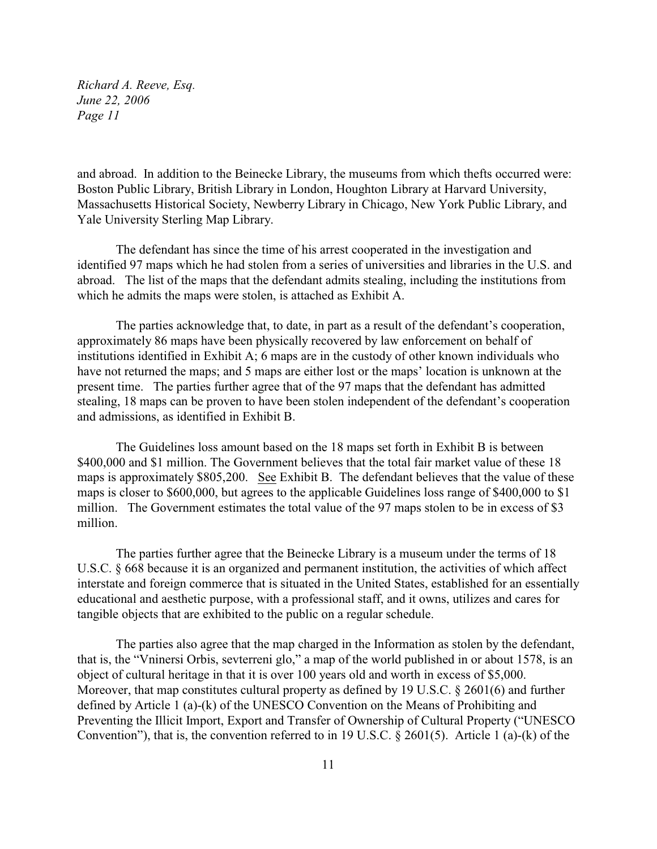and abroad. In addition to the Beinecke Library, the museums from which thefts occurred were: Boston Public Library, British Library in London, Houghton Library at Harvard University, Massachusetts Historical Society, Newberry Library in Chicago, New York Public Library, and Yale University Sterling Map Library.

The defendant has since the time of his arrest cooperated in the investigation and identified 97 maps which he had stolen from a series of universities and libraries in the U.S. and abroad. The list of the maps that the defendant admits stealing, including the institutions from which he admits the maps were stolen, is attached as Exhibit A.

The parties acknowledge that, to date, in part as a result of the defendant's cooperation, approximately 86 maps have been physically recovered by law enforcement on behalf of institutions identified in Exhibit A; 6 maps are in the custody of other known individuals who have not returned the maps; and 5 maps are either lost or the maps' location is unknown at the present time. The parties further agree that of the 97 maps that the defendant has admitted stealing, 18 maps can be proven to have been stolen independent of the defendant's cooperation and admissions, as identified in Exhibit B.

The Guidelines loss amount based on the 18 maps set forth in Exhibit B is between \$400,000 and \$1 million. The Government believes that the total fair market value of these 18 maps is approximately \$805,200. See Exhibit B. The defendant believes that the value of these maps is closer to \$600,000, but agrees to the applicable Guidelines loss range of \$400,000 to \$1 million. The Government estimates the total value of the 97 maps stolen to be in excess of \$3 million.

The parties further agree that the Beinecke Library is a museum under the terms of 18 U.S.C. § 668 because it is an organized and permanent institution, the activities of which affect interstate and foreign commerce that is situated in the United States, established for an essentially educational and aesthetic purpose, with a professional staff, and it owns, utilizes and cares for tangible objects that are exhibited to the public on a regular schedule.

The parties also agree that the map charged in the Information as stolen by the defendant, that is, the "Vninersi Orbis, sevterreni glo," a map of the world published in or about 1578, is an object of cultural heritage in that it is over 100 years old and worth in excess of \$5,000. Moreover, that map constitutes cultural property as defined by 19 U.S.C. § 2601(6) and further defined by Article 1 (a)-(k) of the UNESCO Convention on the Means of Prohibiting and Preventing the Illicit Import, Export and Transfer of Ownership of Cultural Property ("UNESCO Convention"), that is, the convention referred to in 19 U.S.C. § 2601(5). Article 1 (a)-(k) of the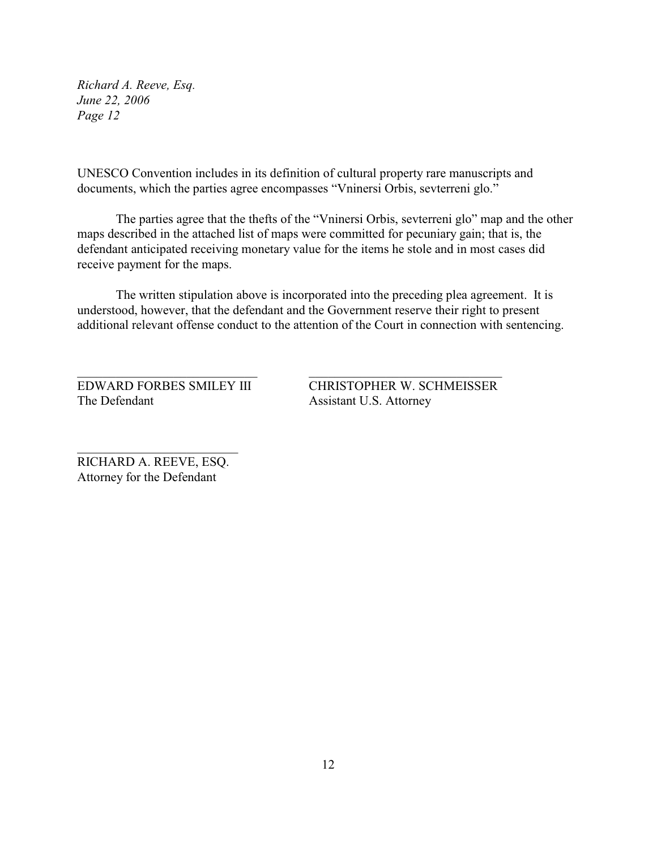UNESCO Convention includes in its definition of cultural property rare manuscripts and documents, which the parties agree encompasses "Vninersi Orbis, sevterreni glo."

The parties agree that the thefts of the "Vninersi Orbis, sevterreni glo" map and the other maps described in the attached list of maps were committed for pecuniary gain; that is, the defendant anticipated receiving monetary value for the items he stole and in most cases did receive payment for the maps.

The written stipulation above is incorporated into the preceding plea agreement. It is understood, however, that the defendant and the Government reserve their right to present additional relevant offense conduct to the attention of the Court in connection with sentencing.

\_\_\_\_\_\_\_\_\_\_\_\_\_\_\_\_\_\_\_\_\_\_\_\_\_\_\_\_ \_\_\_\_\_\_\_\_\_\_\_\_\_\_\_\_\_\_\_\_\_\_\_\_\_\_\_\_\_\_

The Defendant Assistant U.S. Attorney

EDWARD FORBES SMILEY III CHRISTOPHER W. SCHMEISSER

RICHARD A. REEVE, ESQ. Attorney for the Defendant